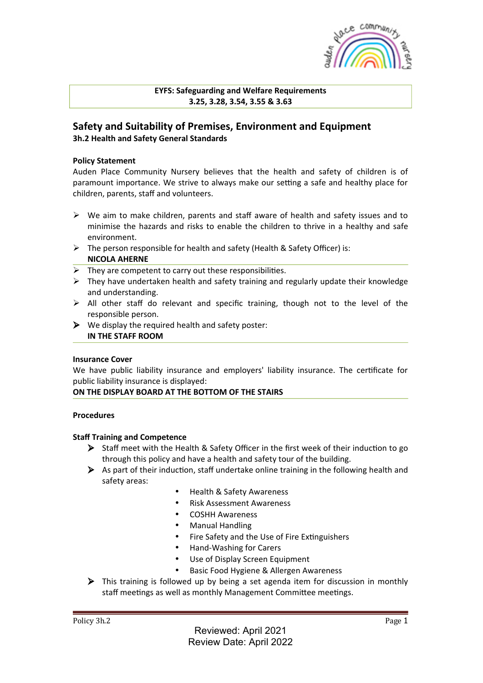

**EYFS: Safeguarding and Welfare Requirements 3.25, 3.28, 3.54, 3.55 & 3.63**

# **Safety and Suitability of Premises, Environment and Equipment 3h.2 Health and Safety General Standards**

### **Policy Statement**

Auden Place Community Nursery believes that the health and safety of children is of paramount importance. We strive to always make our setting a safe and healthy place for children, parents, staff and volunteers.

- $\triangleright$  We aim to make children, parents and staff aware of health and safety issues and to minimise the hazards and risks to enable the children to thrive in a healthy and safe environment.
- $\triangleright$  The person responsible for health and safety (Health & Safety Officer) is: **NICOLA AHERNE**
- $\triangleright$  They are competent to carry out these responsibilities.
- $\triangleright$  They have undertaken health and safety training and regularly update their knowledge and understanding.
- $\triangleright$  All other staff do relevant and specific training, though not to the level of the responsible person.
- $\triangleright$  We display the required health and safety poster: **IN THE STAFF ROOM**

#### **Insurance Cover**

We have public liability insurance and employers' liability insurance. The certificate for public liability insurance is displayed:

#### ON THE DISPLAY BOARD AT THE BOTTOM OF THE STAIRS

#### **Procedures**

#### **Staff Training and Competence**

- $\triangleright$  Staff meet with the Health & Safety Officer in the first week of their induction to go through this policy and have a health and safety tour of the building.
- $\triangleright$  As part of their induction, staff undertake online training in the following health and safety areas:
	- Health & Safety Awareness
	- Risk Assessment Awareness
	- COSHH Awareness
	- Manual Handling
	- Fire Safety and the Use of Fire Extinguishers
	- Hand-Washing for Carers
	- Use of Display Screen Equipment
	- Basic Food Hygiene & Allergen Awareness
- $\triangleright$  This training is followed up by being a set agenda item for discussion in monthly staff meetings as well as monthly Management Committee meetings.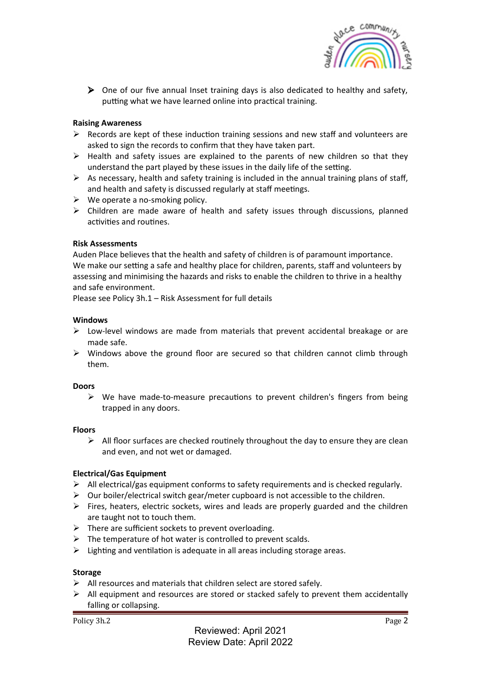

 $\triangleright$  One of our five annual Inset training days is also dedicated to healthy and safety, putting what we have learned online into practical training.

## **Raising Awareness**

- $\triangleright$  Records are kept of these induction training sessions and new staff and volunteers are asked to sign the records to confirm that they have taken part.
- $\triangleright$  Health and safety issues are explained to the parents of new children so that they understand the part played by these issues in the daily life of the setting.
- $\triangleright$  As necessary, health and safety training is included in the annual training plans of staff, and health and safety is discussed regularly at staff meetings.
- $\triangleright$  We operate a no-smoking policy.
- $\triangleright$  Children are made aware of health and safety issues through discussions, planned activities and routines.

#### **Risk Assessments**

Auden Place believes that the health and safety of children is of paramount importance. We make our setting a safe and healthy place for children, parents, staff and volunteers by assessing and minimising the hazards and risks to enable the children to thrive in a healthy and safe environment.

Please see Policy  $3h.1 - Risk Assessment$  for full details

#### **Windows**

- $\triangleright$  Low-level windows are made from materials that prevent accidental breakage or are made safe.
- $\triangleright$  Windows above the ground floor are secured so that children cannot climb through them.

#### **Doors**

 $\triangleright$  We have made-to-measure precautions to prevent children's fingers from being trapped in any doors.

#### **Floors**

 $\triangleright$  All floor surfaces are checked routinely throughout the day to ensure they are clean and even, and not wet or damaged.

#### **Electrical/Gas Equipment**

- $\triangleright$  All electrical/gas equipment conforms to safety requirements and is checked regularly.
- $\triangleright$  Our boiler/electrical switch gear/meter cupboard is not accessible to the children.
- $\triangleright$  Fires, heaters, electric sockets, wires and leads are properly guarded and the children are taught not to touch them.
- $\triangleright$  There are sufficient sockets to prevent overloading.
- $\triangleright$  The temperature of hot water is controlled to prevent scalds.
- $\triangleright$  Lighting and ventilation is adequate in all areas including storage areas.

#### **Storage**

- $\triangleright$  All resources and materials that children select are stored safely.
- $\triangleright$  All equipment and resources are stored or stacked safely to prevent them accidentally falling or collapsing.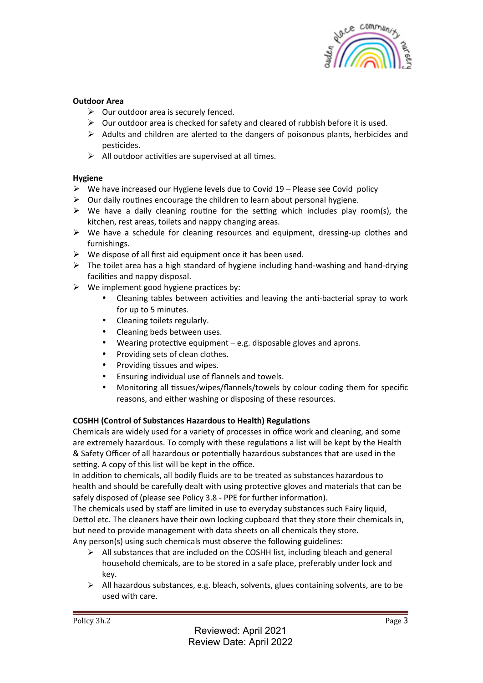

## **Outdoor Area**

- $\triangleright$  Our outdoor area is securely fenced.
- $\triangleright$  Our outdoor area is checked for safety and cleared of rubbish before it is used.
- $\triangleright$  Adults and children are alerted to the dangers of poisonous plants, herbicides and pesticides.
- $\triangleright$  All outdoor activities are supervised at all times.

## **Hygiene**

- $\triangleright$  We have increased our Hygiene levels due to Covid 19 Please see Covid policy
- $\triangleright$  Our daily routines encourage the children to learn about personal hygiene.
- $\triangleright$  We have a daily cleaning routine for the setting which includes play room(s), the kitchen, rest areas, toilets and nappy changing areas.
- $\triangleright$  We have a schedule for cleaning resources and equipment, dressing-up clothes and furnishings.
- $\triangleright$  We dispose of all first aid equipment once it has been used.
- $\triangleright$  The toilet area has a high standard of hygiene including hand-washing and hand-drying facilities and nappy disposal.
- $\triangleright$  We implement good hygiene practices by:
	- Cleaning tables between activities and leaving the anti-bacterial spray to work for up to 5 minutes.
	- Cleaning toilets regularly.
	- Cleaning beds between uses.
	- Wearing protective equipment  $-e.g.$  disposable gloves and aprons.
	- Providing sets of clean clothes.
	- Providing tissues and wipes.
	- Ensuring individual use of flannels and towels.
	- Monitoring all tissues/wipes/flannels/towels by colour coding them for specific reasons, and either washing or disposing of these resources.

# **COSHH (Control of Substances Hazardous to Health) Regulations**

Chemicals are widely used for a variety of processes in office work and cleaning, and some are extremely hazardous. To comply with these regulations a list will be kept by the Health & Safety Officer of all hazardous or potentially hazardous substances that are used in the setting. A copy of this list will be kept in the office.

In addition to chemicals, all bodily fluids are to be treated as substances hazardous to health and should be carefully dealt with using protective gloves and materials that can be safely disposed of (please see Policy 3.8 - PPE for further information).

The chemicals used by staff are limited in use to everyday substances such Fairy liquid, Dettol etc. The cleaners have their own locking cupboard that they store their chemicals in, but need to provide management with data sheets on all chemicals they store. Any person(s) using such chemicals must observe the following guidelines:

- $\triangleright$  All substances that are included on the COSHH list, including bleach and general household chemicals, are to be stored in a safe place, preferably under lock and key.
- $\triangleright$  All hazardous substances, e.g. bleach, solvents, glues containing solvents, are to be used with care.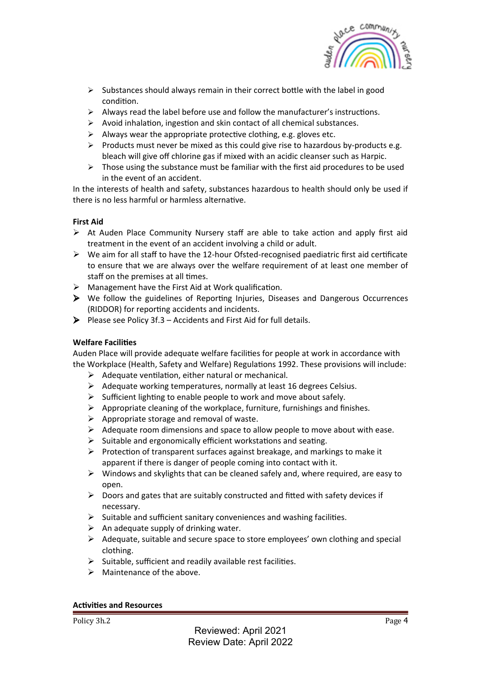

- $\triangleright$  Substances should always remain in their correct bottle with the label in good condition.
- $\triangleright$  Always read the label before use and follow the manufacturer's instructions.
- $\triangleright$  Avoid inhalation, ingestion and skin contact of all chemical substances.
- $\triangleright$  Always wear the appropriate protective clothing, e.g. gloves etc.
- $\triangleright$  Products must never be mixed as this could give rise to hazardous by-products e.g. bleach will give off chlorine gas if mixed with an acidic cleanser such as Harpic.
- $\triangleright$  Those using the substance must be familiar with the first aid procedures to be used in the event of an accident.

In the interests of health and safety, substances hazardous to health should only be used if there is no less harmful or harmless alternative.

# **First Aid**

- $\triangleright$  At Auden Place Community Nursery staff are able to take action and apply first aid treatment in the event of an accident involving a child or adult.
- $\triangleright$  We aim for all staff to have the 12-hour Ofsted-recognised paediatric first aid certificate to ensure that we are always over the welfare requirement of at least one member of staff on the premises at all times.
- $\triangleright$  Management have the First Aid at Work qualification.
- $\triangleright$  We follow the guidelines of Reporting Injuries, Diseases and Dangerous Occurrences (RIDDOR) for reporting accidents and incidents.
- $\triangleright$  Please see Policy 3f.3 Accidents and First Aid for full details.

## **Welfare Facilities**

Auden Place will provide adequate welfare facilities for people at work in accordance with the Workplace (Health, Safety and Welfare) Regulations 1992. These provisions will include:

- $\triangleright$  Adequate ventilation, either natural or mechanical.
- $\triangleright$  Adequate working temperatures, normally at least 16 degrees Celsius.
- $\triangleright$  Sufficient lighting to enable people to work and move about safely.
- $\triangleright$  Appropriate cleaning of the workplace, furniture, furnishings and finishes.
- $\triangleright$  Appropriate storage and removal of waste.
- $\triangleright$  Adequate room dimensions and space to allow people to move about with ease.
- $\triangleright$  Suitable and ergonomically efficient workstations and seating.
- $\triangleright$  Protection of transparent surfaces against breakage, and markings to make it apparent if there is danger of people coming into contact with it.
- $\triangleright$  Windows and skylights that can be cleaned safely and, where required, are easy to open.
- $\triangleright$  Doors and gates that are suitably constructed and fitted with safety devices if necessary.
- $\triangleright$  Suitable and sufficient sanitary conveniences and washing facilities.
- $\triangleright$  An adequate supply of drinking water.
- $\triangleright$  Adequate, suitable and secure space to store employees' own clothing and special clothing.
- $\triangleright$  Suitable, sufficient and readily available rest facilities.
- $\triangleright$  Maintenance of the above.

#### **Activities and Resources**

Policy 3h.2 Page 4